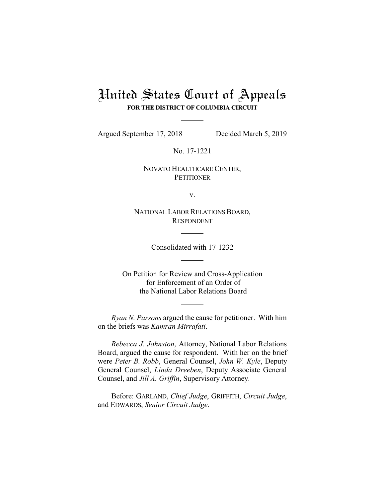# United States Court of Appeals **FOR THE DISTRICT OF COLUMBIA CIRCUIT**

Argued September 17, 2018 Decided March 5, 2019

No. 17-1221

NOVATO HEALTHCARE CENTER, **PETITIONER** 

v.

NATIONAL LABOR RELATIONS BOARD, RESPONDENT

Consolidated with 17-1232

On Petition for Review and Cross-Application for Enforcement of an Order of the National Labor Relations Board

*Ryan N. Parsons* argued the cause for petitioner. With him on the briefs was *Kamran Mirrafati*.

*Rebecca J. Johnston*, Attorney, National Labor Relations Board, argued the cause for respondent. With her on the brief were *Peter B. Robb*, General Counsel, *John W. Kyle*, Deputy General Counsel, *Linda Dreeben*, Deputy Associate General Counsel, and *Jill A. Griffin*, Supervisory Attorney.

Before: GARLAND, *Chief Judge*, GRIFFITH, *Circuit Judge*, and EDWARDS, *Senior Circuit Judge*.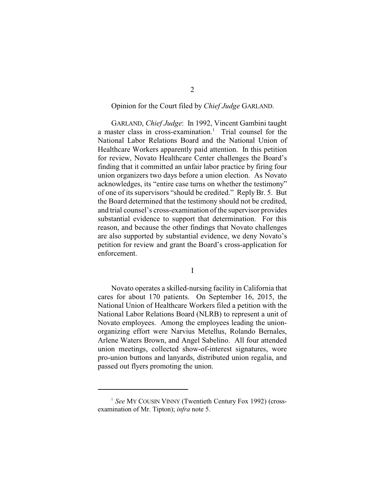## Opinion for the Court filed by *Chief Judge* GARLAND.

GARLAND, *Chief Judge*: In 1992, Vincent Gambini taught a master class in cross-examination.<sup>1</sup> Trial counsel for the National Labor Relations Board and the National Union of Healthcare Workers apparently paid attention. In this petition for review, Novato Healthcare Center challenges the Board's finding that it committed an unfair labor practice by firing four union organizers two days before a union election. As Novato acknowledges, its "entire case turns on whether the testimony" of one of its supervisors "should be credited." Reply Br. 5. But the Board determined that the testimony should not be credited, and trial counsel's cross-examination of the supervisor provides substantial evidence to support that determination. For this reason, and because the other findings that Novato challenges are also supported by substantial evidence, we deny Novato's petition for review and grant the Board's cross-application for enforcement.

I

Novato operates a skilled-nursing facility in California that cares for about 170 patients. On September 16, 2015, the National Union of Healthcare Workers filed a petition with the National Labor Relations Board (NLRB) to represent a unit of Novato employees. Among the employees leading the unionorganizing effort were Narvius Metellus, Rolando Bernales, Arlene Waters Brown, and Angel Sabelino. All four attended union meetings, collected show-of-interest signatures, wore pro-union buttons and lanyards, distributed union regalia, and passed out flyers promoting the union.

<sup>&</sup>lt;sup>1</sup> See MY COUSIN VINNY (Twentieth Century Fox 1992) (crossexamination of Mr. Tipton); *infra* note 5.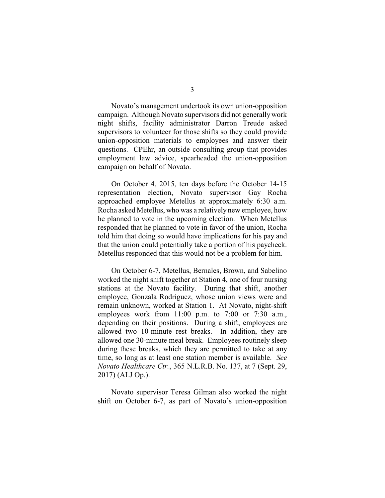Novato's management undertook its own union-opposition campaign. Although Novato supervisors did not generallywork night shifts, facility administrator Darron Treude asked supervisors to volunteer for those shifts so they could provide union-opposition materials to employees and answer their questions. CPEhr, an outside consulting group that provides employment law advice, spearheaded the union-opposition campaign on behalf of Novato.

On October 4, 2015, ten days before the October 14-15 representation election, Novato supervisor Gay Rocha approached employee Metellus at approximately 6:30 a.m. Rocha asked Metellus, who was a relatively new employee, how he planned to vote in the upcoming election. When Metellus responded that he planned to vote in favor of the union, Rocha told him that doing so would have implications for his pay and that the union could potentially take a portion of his paycheck. Metellus responded that this would not be a problem for him.

On October 6-7, Metellus, Bernales, Brown, and Sabelino worked the night shift together at Station 4, one of four nursing stations at the Novato facility. During that shift, another employee, Gonzala Rodriguez, whose union views were and remain unknown, worked at Station 1. At Novato, night-shift employees work from 11:00 p.m. to 7:00 or 7:30 a.m., depending on their positions. During a shift, employees are allowed two 10-minute rest breaks. In addition, they are allowed one 30-minute meal break. Employees routinely sleep during these breaks, which they are permitted to take at any time, so long as at least one station member is available. *See Novato Healthcare Ctr.*, 365 N.L.R.B. No. 137, at 7 (Sept. 29, 2017) (ALJ Op.).

Novato supervisor Teresa Gilman also worked the night shift on October 6-7, as part of Novato's union-opposition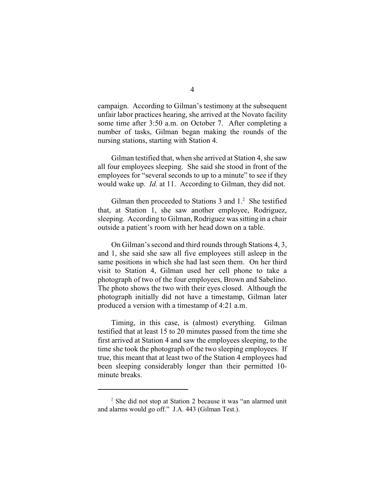campaign. According to Gilman's testimony at the subsequent unfair labor practices hearing, she arrived at the Novato facility some time after 3:50 a.m. on October 7. After completing a number of tasks, Gilman began making the rounds of the nursing stations, starting with Station 4.

Gilman testified that, when she arrived at Station 4, she saw all four employees sleeping. She said she stood in front of the employees for "several seconds to up to a minute" to see if they would wake up. *Id.* at 11. According to Gilman, they did not.

Gilman then proceeded to Stations  $3$  and  $1<sup>2</sup>$ . She testified that, at Station 1, she saw another employee, Rodriguez, sleeping. According to Gilman, Rodriguez was sitting in a chair outside a patient's room with her head down on a table.

On Gilman's second and third rounds through Stations 4, 3, and 1, she said she saw all five employees still asleep in the same positions in which she had last seen them. On her third visit to Station 4, Gilman used her cell phone to take a photograph of two of the four employees, Brown and Sabelino. The photo shows the two with their eyes closed. Although the photograph initially did not have a timestamp, Gilman later produced a version with a timestamp of 4:21 a.m.

Timing, in this case, is (almost) everything. Gilman testified that at least 15 to 20 minutes passed from the time she first arrived at Station 4 and saw the employees sleeping, to the time she took the photograph of the two sleeping employees. If true, this meant that at least two of the Station 4 employees had been sleeping considerably longer than their permitted 10 minute breaks.

 $2$  She did not stop at Station 2 because it was "an alarmed unit" and alarms would go off." J.A. 443 (Gilman Test.).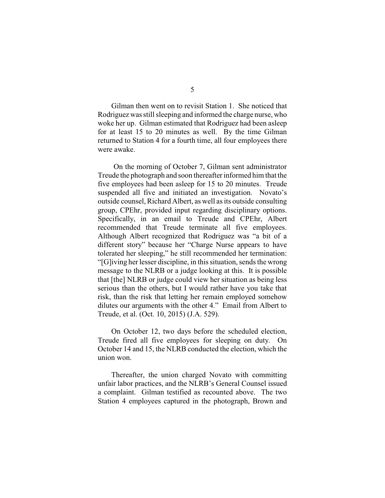Gilman then went on to revisit Station 1. She noticed that Rodriguez was still sleeping and informed the charge nurse, who woke her up. Gilman estimated that Rodriguez had been asleep for at least 15 to 20 minutes as well. By the time Gilman returned to Station 4 for a fourth time, all four employees there were awake.

On the morning of October 7, Gilman sent administrator Treude the photograph and soon thereafter informed him that the five employees had been asleep for 15 to 20 minutes. Treude suspended all five and initiated an investigation. Novato's outside counsel, Richard Albert, as well as its outside consulting group, CPEhr, provided input regarding disciplinary options. Specifically, in an email to Treude and CPEhr, Albert recommended that Treude terminate all five employees. Although Albert recognized that Rodriguez was "a bit of a different story" because her "Charge Nurse appears to have tolerated her sleeping," he still recommended her termination: "[G]iving her lesser discipline, in this situation, sends the wrong message to the NLRB or a judge looking at this. It is possible that [the] NLRB or judge could view her situation as being less serious than the others, but I would rather have you take that risk, than the risk that letting her remain employed somehow dilutes our arguments with the other 4." Email from Albert to Treude, et al. (Oct. 10, 2015) (J.A. 529).

On October 12, two days before the scheduled election, Treude fired all five employees for sleeping on duty. On October 14 and 15, the NLRB conducted the election, which the union won.

Thereafter, the union charged Novato with committing unfair labor practices, and the NLRB's General Counsel issued a complaint. Gilman testified as recounted above. The two Station 4 employees captured in the photograph, Brown and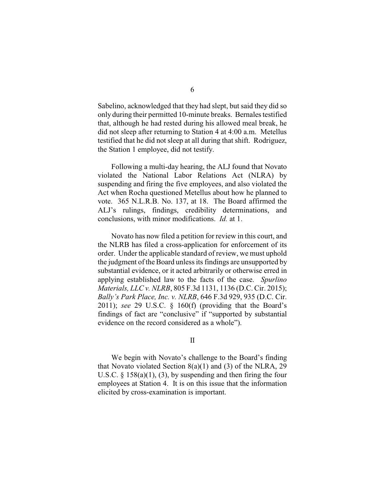Sabelino, acknowledged that they had slept, but said they did so only during their permitted 10-minute breaks. Bernales testified that, although he had rested during his allowed meal break, he did not sleep after returning to Station 4 at 4:00 a.m. Metellus testified that he did not sleep at all during that shift. Rodriguez, the Station 1 employee, did not testify.

Following a multi-day hearing, the ALJ found that Novato violated the National Labor Relations Act (NLRA) by suspending and firing the five employees, and also violated the Act when Rocha questioned Metellus about how he planned to vote. 365 N.L.R.B. No. 137, at 18. The Board affirmed the ALJ's rulings, findings, credibility determinations, and conclusions, with minor modifications. *Id.* at 1.

Novato has now filed a petition for review in this court, and the NLRB has filed a cross-application for enforcement of its order. Under the applicable standard of review, we must uphold the judgment of the Board unless its findings are unsupported by substantial evidence, or it acted arbitrarily or otherwise erred in applying established law to the facts of the case. *Spurlino Materials, LLC v. NLRB*, 805 F.3d 1131, 1136 (D.C. Cir. 2015); *Bally's Park Place, Inc. v. NLRB*, 646 F.3d 929, 935 (D.C. Cir. 2011); *see* 29 U.S.C. § 160(f) (providing that the Board's findings of fact are "conclusive" if "supported by substantial evidence on the record considered as a whole").

### II

We begin with Novato's challenge to the Board's finding that Novato violated Section 8(a)(1) and (3) of the NLRA, 29 U.S.C.  $\S$  158(a)(1), (3), by suspending and then firing the four employees at Station 4. It is on this issue that the information elicited by cross-examination is important.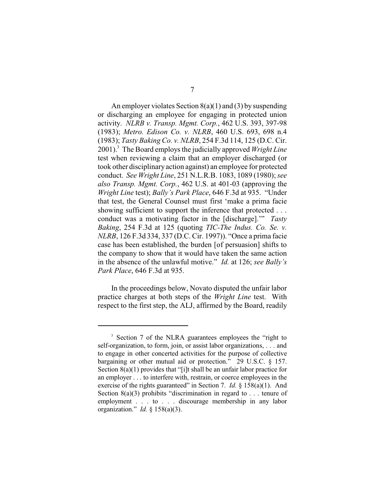An employer violates Section 8(a)(1) and (3) by suspending or discharging an employee for engaging in protected union activity. *NLRB v. Transp. Mgmt. Corp.*, 462 U.S. 393, 397-98 (1983); *Metro. Edison Co. v. NLRB*, 460 U.S. 693, 698 n.4 (1983); *Tasty Baking Co. v. NLRB*, 254 F.3d 114, 125 (D.C. Cir. 2001). The Board employs the judicially approved *Wright Line* <sup>3</sup> test when reviewing a claim that an employer discharged (or took other disciplinary action against) an employee for protected conduct. *See Wright Line*, 251 N.L.R.B. 1083, 1089 (1980); *see also Transp. Mgmt. Corp.*, 462 U.S. at 401-03 (approving the *Wright Line* test); *Bally's Park Place*, 646 F.3d at 935. "Under that test, the General Counsel must first 'make a prima facie showing sufficient to support the inference that protected . . . conduct was a motivating factor in the [discharge].'" *Tasty Baking*, 254 F.3d at 125 (quoting *TIC-The Indus. Co. Se. v. NLRB*, 126 F.3d 334, 337 (D.C. Cir. 1997)). "Once a prima facie case has been established, the burden [of persuasion] shifts to the company to show that it would have taken the same action in the absence of the unlawful motive." *Id.* at 126; *see Bally's Park Place*, 646 F.3d at 935.

In the proceedings below, Novato disputed the unfair labor practice charges at both steps of the *Wright Line* test. With respect to the first step, the ALJ, affirmed by the Board, readily

<sup>&</sup>lt;sup>3</sup> Section 7 of the NLRA guarantees employees the "right to self-organization, to form, join, or assist labor organizations, . . . and to engage in other concerted activities for the purpose of collective bargaining or other mutual aid or protection." 29 U.S.C. § 157. Section 8(a)(1) provides that "[i]t shall be an unfair labor practice for an employer . . . to interfere with, restrain, or coerce employees in the exercise of the rights guaranteed" in Section 7. *Id.* § 158(a)(1). And Section  $8(a)(3)$  prohibits "discrimination in regard to ... tenure of employment . . . to . . . discourage membership in any labor organization." *Id.* § 158(a)(3).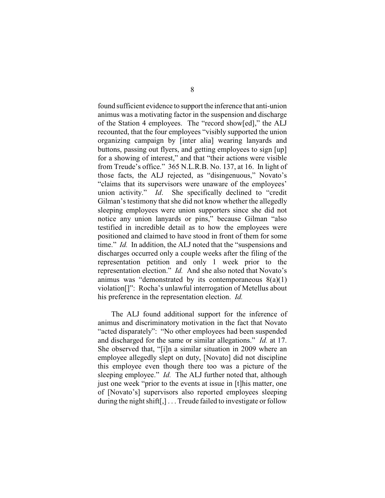found sufficient evidence to support the inference that anti-union animus was a motivating factor in the suspension and discharge of the Station 4 employees. The "record show[ed]," the ALJ recounted, that the four employees "visibly supported the union organizing campaign by [inter alia] wearing lanyards and buttons, passing out flyers, and getting employees to sign [up] for a showing of interest," and that "their actions were visible from Treude's office." 365 N.L.R.B. No. 137, at 16. In light of those facts, the ALJ rejected, as "disingenuous," Novato's "claims that its supervisors were unaware of the employees' union activity." *Id*. She specifically declined to "credit Gilman's testimony that she did not know whether the allegedly sleeping employees were union supporters since she did not notice any union lanyards or pins," because Gilman "also testified in incredible detail as to how the employees were positioned and claimed to have stood in front of them for some time." *Id.* In addition, the ALJ noted that the "suspensions and discharges occurred only a couple weeks after the filing of the representation petition and only 1 week prior to the representation election." *Id.* And she also noted that Novato's animus was "demonstrated by its contemporaneous  $8(a)(1)$ violation[]": Rocha's unlawful interrogation of Metellus about his preference in the representation election. *Id.*

The ALJ found additional support for the inference of animus and discriminatory motivation in the fact that Novato "acted disparately": "No other employees had been suspended and discharged for the same or similar allegations." *Id.* at 17. She observed that, "[i]n a similar situation in 2009 where an employee allegedly slept on duty, [Novato] did not discipline this employee even though there too was a picture of the sleeping employee." *Id.* The ALJ further noted that, although just one week "prior to the events at issue in [t]his matter, one of [Novato's] supervisors also reported employees sleeping during the night shift[,]... Treude failed to investigate or follow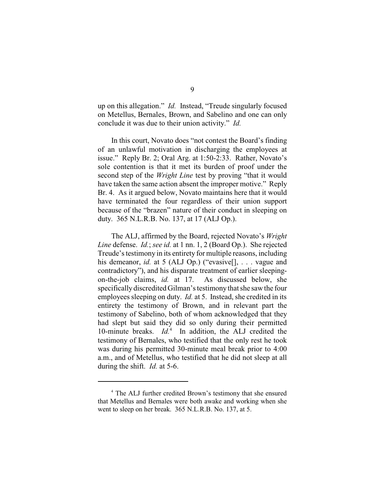up on this allegation." *Id.* Instead, "Treude singularly focused on Metellus, Bernales, Brown, and Sabelino and one can only conclude it was due to their union activity." *Id.*

In this court, Novato does "not contest the Board's finding of an unlawful motivation in discharging the employees at issue." Reply Br. 2; Oral Arg. at 1:50-2:33. Rather, Novato's sole contention is that it met its burden of proof under the second step of the *Wright Line* test by proving "that it would have taken the same action absent the improper motive." Reply Br. 4. As it argued below, Novato maintains here that it would have terminated the four regardless of their union support because of the "brazen" nature of their conduct in sleeping on duty. 365 N.L.R.B. No. 137, at 17 (ALJ Op.).

The ALJ, affirmed by the Board, rejected Novato's *Wright Line* defense. *Id.*; *see id.* at 1 nn. 1, 2 (Board Op.). She rejected Treude's testimony in its entirety for multiple reasons, including his demeanor, *id.* at 5 (ALJ Op.) ("evasive[], . . . vague and contradictory"), and his disparate treatment of earlier sleepingon-the-job claims, *id.* at 17. As discussed below, she specifically discredited Gilman's testimonythat she saw the four employees sleeping on duty. *Id.* at 5. Instead, she credited in its entirety the testimony of Brown, and in relevant part the testimony of Sabelino, both of whom acknowledged that they had slept but said they did so only during their permitted 10-minute breaks. *Id.*<sup>4</sup> In addition, the ALJ credited the testimony of Bernales, who testified that the only rest he took was during his permitted 30-minute meal break prior to 4:00 a.m., and of Metellus, who testified that he did not sleep at all during the shift. *Id.* at 5-6.

<sup>&</sup>lt;sup>4</sup> The ALJ further credited Brown's testimony that she ensured that Metellus and Bernales were both awake and working when she went to sleep on her break. 365 N.L.R.B. No. 137, at 5.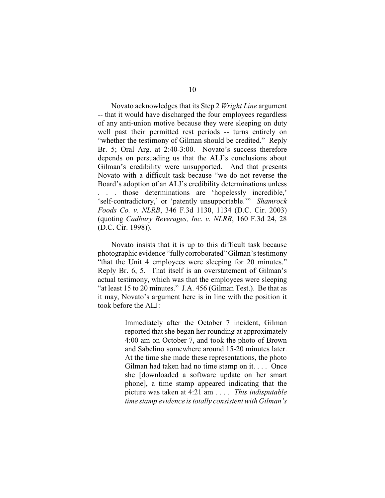Novato acknowledges that its Step 2 *Wright Line* argument -- that it would have discharged the four employees regardless of any anti-union motive because they were sleeping on duty well past their permitted rest periods -- turns entirely on "whether the testimony of Gilman should be credited." Reply Br. 5; Oral Arg. at 2:40-3:00. Novato's success therefore depends on persuading us that the ALJ's conclusions about Gilman's credibility were unsupported. And that presents Novato with a difficult task because "we do not reverse the Board's adoption of an ALJ's credibility determinations unless . . . those determinations are 'hopelessly incredible,' 'self-contradictory,' or 'patently unsupportable.'" *Shamrock Foods Co. v. NLRB*, 346 F.3d 1130, 1134 (D.C. Cir. 2003) (quoting *Cadbury Beverages, Inc. v. NLRB*, 160 F.3d 24, 28 (D.C. Cir. 1998)).

Novato insists that it is up to this difficult task because photographic evidence "fullycorroborated" Gilman's testimony "that the Unit 4 employees were sleeping for 20 minutes." Reply Br. 6, 5. That itself is an overstatement of Gilman's actual testimony, which was that the employees were sleeping "at least 15 to 20 minutes." J.A. 456 (Gilman Test.). Be that as it may, Novato's argument here is in line with the position it took before the ALJ:

> Immediately after the October 7 incident, Gilman reported that she began her rounding at approximately 4:00 am on October 7, and took the photo of Brown and Sabelino somewhere around 15-20 minutes later. At the time she made these representations, the photo Gilman had taken had no time stamp on it. . . . Once she [downloaded a software update on her smart phone], a time stamp appeared indicating that the picture was taken at 4:21 am . . . . *This indisputable time stamp evidence is totally consistent with Gilman's*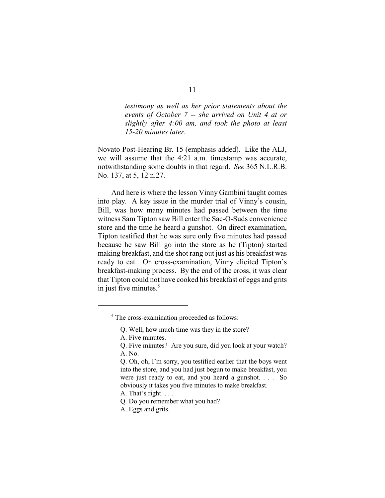*testimony as well as her prior statements about the events of October 7 -- she arrived on Unit 4 at or slightly after 4:00 am, and took the photo at least 15-20 minutes later*.

Novato Post-Hearing Br. 15 (emphasis added). Like the ALJ, we will assume that the 4:21 a.m. timestamp was accurate, notwithstanding some doubts in that regard. *See* 365 N.L.R.B. No. 137, at 5, 12 n.27.

And here is where the lesson Vinny Gambini taught comes into play. A key issue in the murder trial of Vinny's cousin, Bill, was how many minutes had passed between the time witness Sam Tipton saw Bill enter the Sac-O-Suds convenience store and the time he heard a gunshot. On direct examination, Tipton testified that he was sure only five minutes had passed because he saw Bill go into the store as he (Tipton) started making breakfast, and the shot rang out just as his breakfast was ready to eat. On cross-examination, Vinny elicited Tipton's breakfast-making process. By the end of the cross, it was clear that Tipton could not have cooked his breakfast of eggs and grits in just five minutes. $5$ 

<sup>&</sup>lt;sup>5</sup> The cross-examination proceeded as follows:

Q. Well, how much time was they in the store?

A. Five minutes.

Q. Five minutes? Are you sure, did you look at your watch? A. No.

Q. Oh, oh, I'm sorry, you testified earlier that the boys went into the store, and you had just begun to make breakfast, you were just ready to eat, and you heard a gunshot. . . . So obviously it takes you five minutes to make breakfast.

A. That's right. . . .

Q. Do you remember what you had?

A. Eggs and grits.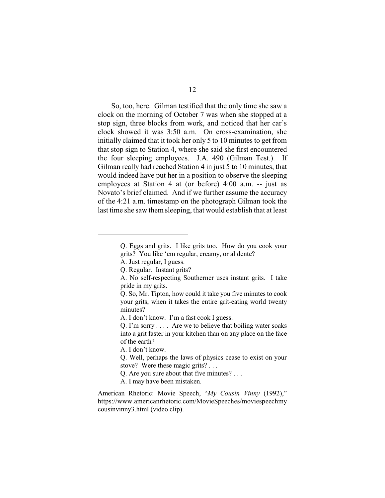So, too, here. Gilman testified that the only time she saw a clock on the morning of October 7 was when she stopped at a stop sign, three blocks from work, and noticed that her car's clock showed it was 3:50 a.m. On cross-examination, she initially claimed that it took her only 5 to 10 minutes to get from that stop sign to Station 4, where she said she first encountered the four sleeping employees. J.A. 490 (Gilman Test.). If Gilman really had reached Station 4 in just 5 to 10 minutes, that would indeed have put her in a position to observe the sleeping employees at Station 4 at (or before) 4:00 a.m. -- just as Novato's brief claimed. And if we further assume the accuracy of the 4:21 a.m. timestamp on the photograph Gilman took the last time she saw them sleeping, that would establish that at least

Q. Eggs and grits. I like grits too. How do you cook your grits? You like 'em regular, creamy, or al dente?

A. Just regular, I guess.

Q. Regular. Instant grits?

A. No self-respecting Southerner uses instant grits. I take pride in my grits.

Q. So, Mr. Tipton, how could it take you five minutes to cook your grits, when it takes the entire grit-eating world twenty minutes?

A. I don't know. I'm a fast cook I guess.

Q. I'm sorry . . . . Are we to believe that boiling water soaks into a grit faster in your kitchen than on any place on the face of the earth?

A. I don't know.

Q. Well, perhaps the laws of physics cease to exist on your stove? Were these magic grits? . . .

Q. Are you sure about that five minutes? . . .

A. I may have been mistaken.

American Rhetoric: Movie Speech, "*My Cousin Vinny* (1992)," https://www.americanrhetoric.com/MovieSpeeches/moviespeechmy cousinvinny3.html (video clip).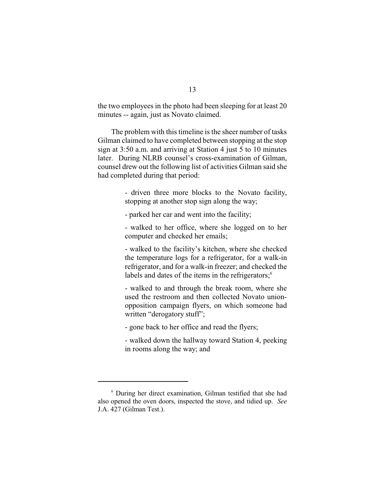the two employees in the photo had been sleeping for at least 20 minutes -- again, just as Novato claimed.

The problem with this timeline is the sheer number of tasks Gilman claimed to have completed between stopping at the stop sign at 3:50 a.m. and arriving at Station 4 just 5 to 10 minutes later. During NLRB counsel's cross-examination of Gilman, counsel drew out the following list of activities Gilman said she had completed during that period:

> - driven three more blocks to the Novato facility, stopping at another stop sign along the way;

- parked her car and went into the facility;

- walked to her office, where she logged on to her computer and checked her emails;

- walked to the facility's kitchen, where she checked the temperature logs for a refrigerator, for a walk-in refrigerator, and for a walk-in freezer; and checked the labels and dates of the items in the refrigerators; $<sup>6</sup>$ </sup>

- walked to and through the break room, where she used the restroom and then collected Novato unionopposition campaign flyers, on which someone had written "derogatory stuff";

- gone back to her office and read the flyers;

- walked down the hallway toward Station 4, peeking in rooms along the way; and

<sup>&</sup>lt;sup>6</sup> During her direct examination, Gilman testified that she had also opened the oven doors, inspected the stove, and tidied up. *See* J.A. 427 (Gilman Test.).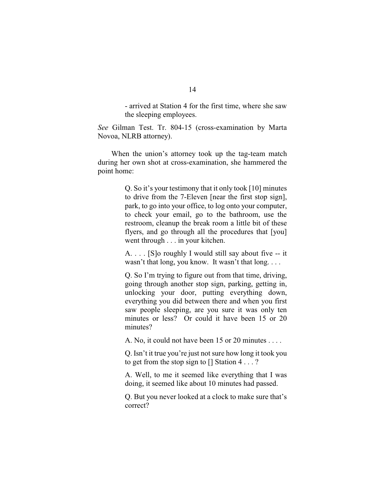- arrived at Station 4 for the first time, where she saw the sleeping employees.

*See* Gilman Test. Tr. 804-15 (cross-examination by Marta Novoa, NLRB attorney).

When the union's attorney took up the tag-team match during her own shot at cross-examination, she hammered the point home:

> Q. So it's your testimony that it only took [10] minutes to drive from the 7-Eleven [near the first stop sign], park, to go into your office, to log onto your computer, to check your email, go to the bathroom, use the restroom, cleanup the break room a little bit of these flyers, and go through all the procedures that [you] went through . . . in your kitchen.

> A. . . . [S]o roughly I would still say about five -- it wasn't that long, you know. It wasn't that long. . . .

> Q. So I'm trying to figure out from that time, driving, going through another stop sign, parking, getting in, unlocking your door, putting everything down, everything you did between there and when you first saw people sleeping, are you sure it was only ten minutes or less? Or could it have been 15 or 20 minutes?

A. No, it could not have been 15 or 20 minutes . . . .

Q. Isn't it true you're just not sure how long it took you to get from the stop sign to [] Station 4 . . . ?

A. Well, to me it seemed like everything that I was doing, it seemed like about 10 minutes had passed.

Q. But you never looked at a clock to make sure that's correct?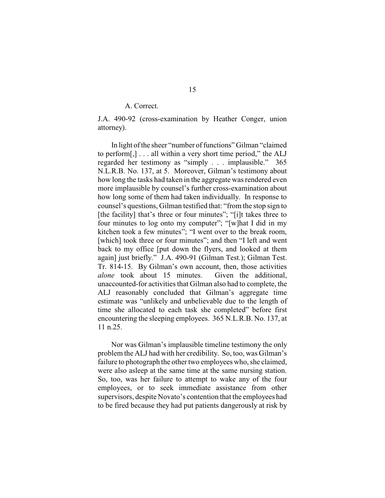### A. Correct.

J.A. 490-92 (cross-examination by Heather Conger, union attorney).

In light of the sheer "number of functions" Gilman "claimed to perform[,] . . . all within a very short time period," the ALJ regarded her testimony as "simply . . . implausible." 365 N.L.R.B. No. 137, at 5. Moreover, Gilman's testimony about how long the tasks had taken in the aggregate was rendered even more implausible by counsel's further cross-examination about how long some of them had taken individually. In response to counsel's questions, Gilman testified that: "from the stop sign to [the facility] that's three or four minutes"; "[i]t takes three to four minutes to log onto my computer"; "[w]hat I did in my kitchen took a few minutes"; "I went over to the break room, [which] took three or four minutes"; and then "I left and went back to my office [put down the flyers, and looked at them again] just briefly." J.A. 490-91 (Gilman Test.); Gilman Test. Tr. 814-15. By Gilman's own account, then, those activities *alone* took about 15 minutes. Given the additional, unaccounted-for activities that Gilman also had to complete, the ALJ reasonably concluded that Gilman's aggregate time estimate was "unlikely and unbelievable due to the length of time she allocated to each task she completed" before first encountering the sleeping employees. 365 N.L.R.B. No. 137, at 11 n.25.

Nor was Gilman's implausible timeline testimony the only problem the ALJ had with her credibility. So, too, was Gilman's failure to photograph the other two employees who, she claimed, were also asleep at the same time at the same nursing station. So, too, was her failure to attempt to wake any of the four employees, or to seek immediate assistance from other supervisors, despite Novato's contention that the employees had to be fired because they had put patients dangerously at risk by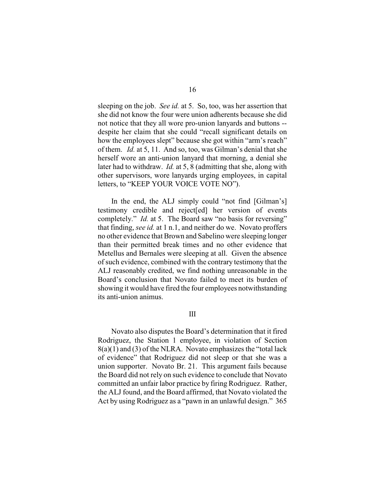sleeping on the job. *See id.* at 5. So, too, was her assertion that she did not know the four were union adherents because she did not notice that they all wore pro-union lanyards and buttons - despite her claim that she could "recall significant details on how the employees slept" because she got within "arm's reach" of them. *Id.* at 5, 11. And so, too, was Gilman's denial that she herself wore an anti-union lanyard that morning, a denial she later had to withdraw. *Id.* at 5, 8 (admitting that she, along with other supervisors, wore lanyards urging employees, in capital letters, to "KEEP YOUR VOICE VOTE NO").

In the end, the ALJ simply could "not find [Gilman's] testimony credible and reject[ed] her version of events completely." *Id.* at 5. The Board saw "no basis for reversing" that finding, *see id.* at 1 n.1, and neither do we. Novato proffers no other evidence that Brown and Sabelino were sleeping longer than their permitted break times and no other evidence that Metellus and Bernales were sleeping at all. Given the absence of such evidence, combined with the contrary testimony that the ALJ reasonably credited, we find nothing unreasonable in the Board's conclusion that Novato failed to meet its burden of showing it would have fired the four employees notwithstanding its anti-union animus.

#### III

Novato also disputes the Board's determination that it fired Rodriguez, the Station 1 employee, in violation of Section  $8(a)(1)$  and  $(3)$  of the NLRA. Novato emphasizes the "total lack" of evidence" that Rodriguez did not sleep or that she was a union supporter. Novato Br. 21. This argument fails because the Board did not rely on such evidence to conclude that Novato committed an unfair labor practice by firing Rodriguez. Rather, the ALJ found, and the Board affirmed, that Novato violated the Act by using Rodriguez as a "pawn in an unlawful design." 365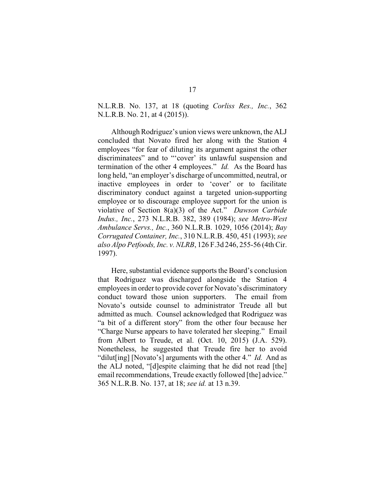N.L.R.B. No. 137, at 18 (quoting *Corliss Res., Inc.*, 362 N.L.R.B. No. 21, at 4 (2015)).

Although Rodriguez's union views were unknown, the ALJ concluded that Novato fired her along with the Station 4 employees "for fear of diluting its argument against the other discriminatees" and to "'cover' its unlawful suspension and termination of the other 4 employees." *Id.* As the Board has long held, "an employer's discharge of uncommitted, neutral, or inactive employees in order to 'cover' or to facilitate discriminatory conduct against a targeted union-supporting employee or to discourage employee support for the union is violative of Section 8(a)(3) of the Act." *Dawson Carbide Indus., Inc.*, 273 N.L.R.B. 382, 389 (1984); *see Metro-West Ambulance Servs., Inc.*, 360 N.L.R.B. 1029, 1056 (2014); *Bay Corrugated Container, Inc.*, 310 N.L.R.B. 450, 451 (1993); *see also Alpo Petfoods, Inc. v. NLRB*, 126 F.3d 246, 255-56 (4th Cir. 1997).

Here, substantial evidence supports the Board's conclusion that Rodriguez was discharged alongside the Station 4 employees in order to provide cover for Novato's discriminatory conduct toward those union supporters. The email from Novato's outside counsel to administrator Treude all but admitted as much. Counsel acknowledged that Rodriguez was "a bit of a different story" from the other four because her "Charge Nurse appears to have tolerated her sleeping." Email from Albert to Treude, et al. (Oct. 10, 2015) (J.A. 529). Nonetheless, he suggested that Treude fire her to avoid "dilut[ing] [Novato's] arguments with the other 4." *Id.* And as the ALJ noted, "[d]espite claiming that he did not read [the] email recommendations, Treude exactly followed [the] advice." 365 N.L.R.B. No. 137, at 18; *see id.* at 13 n.39.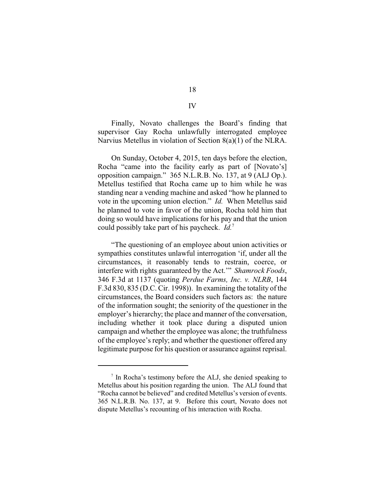Finally, Novato challenges the Board's finding that supervisor Gay Rocha unlawfully interrogated employee Narvius Metellus in violation of Section 8(a)(1) of the NLRA.

On Sunday, October 4, 2015, ten days before the election, Rocha "came into the facility early as part of [Novato's] opposition campaign." 365 N.L.R.B. No. 137, at 9 (ALJ Op.). Metellus testified that Rocha came up to him while he was standing near a vending machine and asked "how he planned to vote in the upcoming union election." *Id.* When Metellus said he planned to vote in favor of the union, Rocha told him that doing so would have implications for his pay and that the union could possibly take part of his paycheck. *Id.*<sup>7</sup>

"The questioning of an employee about union activities or sympathies constitutes unlawful interrogation 'if, under all the circumstances, it reasonably tends to restrain, coerce, or interfere with rights guaranteed by the Act.'" *Shamrock Foods*, 346 F.3d at 1137 (quoting *Perdue Farms, Inc. v. NLRB*, 144 F.3d 830, 835 (D.C. Cir. 1998)). In examining the totality of the circumstances, the Board considers such factors as: the nature of the information sought; the seniority of the questioner in the employer's hierarchy; the place and manner of the conversation, including whether it took place during a disputed union campaign and whether the employee was alone; the truthfulness of the employee's reply; and whether the questioner offered any legitimate purpose for his question or assurance against reprisal.

IV

 $\frac{1}{2}$  In Rocha's testimony before the ALJ, she denied speaking to Metellus about his position regarding the union. The ALJ found that "Rocha cannot be believed" and credited Metellus's version of events. 365 N.L.R.B. No. 137, at 9. Before this court, Novato does not dispute Metellus's recounting of his interaction with Rocha.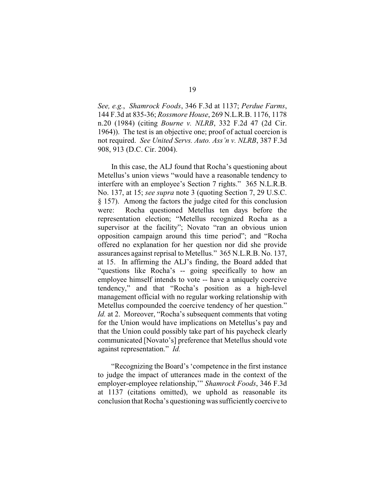*See, e.g.*, *Shamrock Foods*, 346 F.3d at 1137; *Perdue Farms*, 144 F.3d at 835-36; *Rossmore House*, 269 N.L.R.B. 1176, 1178 n.20 (1984) (citing *Bourne v. NLRB*, 332 F.2d 47 (2d Cir. 1964)). The test is an objective one; proof of actual coercion is not required. *See United Servs. Auto. Ass'n v. NLRB*, 387 F.3d 908, 913 (D.C. Cir. 2004).

In this case, the ALJ found that Rocha's questioning about Metellus's union views "would have a reasonable tendency to interfere with an employee's Section 7 rights." 365 N.L.R.B. No. 137, at 15; *see supra* note 3 (quoting Section 7, 29 U.S.C. § 157). Among the factors the judge cited for this conclusion were: Rocha questioned Metellus ten days before the representation election; "Metellus recognized Rocha as a supervisor at the facility"; Novato "ran an obvious union opposition campaign around this time period"; and "Rocha offered no explanation for her question nor did she provide assurances against reprisal to Metellus." 365 N.L.R.B. No. 137, at 15. In affirming the ALJ's finding, the Board added that "questions like Rocha's -- going specifically to how an employee himself intends to vote -- have a uniquely coercive tendency," and that "Rocha's position as a high-level management official with no regular working relationship with Metellus compounded the coercive tendency of her question." *Id.* at 2. Moreover, "Rocha's subsequent comments that voting for the Union would have implications on Metellus's pay and that the Union could possibly take part of his paycheck clearly communicated [Novato's] preference that Metellus should vote against representation." *Id.*

"Recognizing the Board's 'competence in the first instance to judge the impact of utterances made in the context of the employer-employee relationship,'" *Shamrock Foods*, 346 F.3d at 1137 (citations omitted), we uphold as reasonable its conclusion that Rocha's questioning was sufficiently coercive to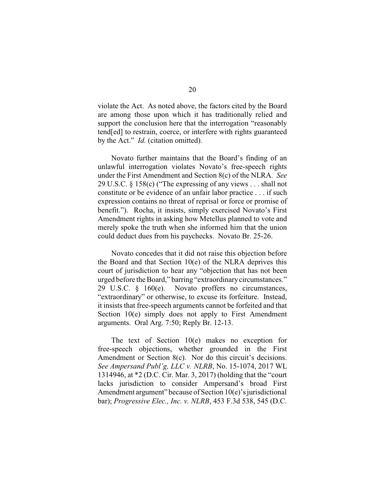violate the Act. As noted above, the factors cited by the Board are among those upon which it has traditionally relied and support the conclusion here that the interrogation "reasonably tend[ed] to restrain, coerce, or interfere with rights guaranteed by the Act." *Id.* (citation omitted).

Novato further maintains that the Board's finding of an unlawful interrogation violates Novato's free-speech rights under the First Amendment and Section 8(c) of the NLRA. *See* 29 U.S.C. § 158(c) ("The expressing of any views . . . shall not constitute or be evidence of an unfair labor practice . . . if such expression contains no threat of reprisal or force or promise of benefit."). Rocha, it insists, simply exercised Novato's First Amendment rights in asking how Metellus planned to vote and merely spoke the truth when she informed him that the union could deduct dues from his paychecks. Novato Br. 25-26.

Novato concedes that it did not raise this objection before the Board and that Section 10(e) of the NLRA deprives this court of jurisdiction to hear any "objection that has not been urged before the Board," barring "extraordinarycircumstances." 29 U.S.C. § 160(e). Novato proffers no circumstances, "extraordinary" or otherwise, to excuse its forfeiture. Instead, it insists that free-speech arguments cannot be forfeited and that Section 10(e) simply does not apply to First Amendment arguments. Oral Arg. 7:50; Reply Br. 12-13.

The text of Section 10(e) makes no exception for free-speech objections, whether grounded in the First Amendment or Section 8(c). Nor do this circuit's decisions. *See Ampersand Publ'g, LLC v. NLRB*, No. 15-1074, 2017 WL 1314946, at \*2 (D.C. Cir. Mar. 3, 2017) (holding that the "court lacks jurisdiction to consider Ampersand's broad First Amendment argument" because of Section 10(e)'s jurisdictional bar); *Progressive Elec., Inc. v. NLRB*, 453 F.3d 538, 545 (D.C.